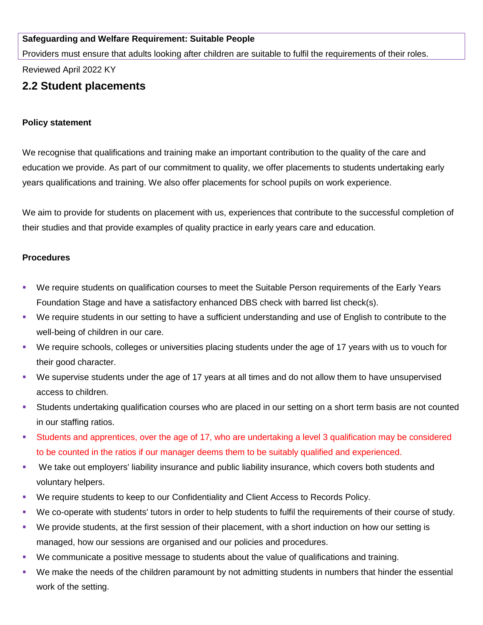## **Safeguarding and Welfare Requirement: Suitable People**

Providers must ensure that adults looking after children are suitable to fulfil the requirements of their roles.

Reviewed April 2022 KY

## **2.2 Student placements**

## **Policy statement**

We recognise that qualifications and training make an important contribution to the quality of the care and education we provide. As part of our commitment to quality, we offer placements to students undertaking early years qualifications and training. We also offer placements for school pupils on work experience.

We aim to provide for students on placement with us, experiences that contribute to the successful completion of their studies and that provide examples of quality practice in early years care and education.

## **Procedures**

- We require students on qualification courses to meet the Suitable Person requirements of the Early Years Foundation Stage and have a satisfactory enhanced DBS check with barred list check(s).
- We require students in our setting to have a sufficient understanding and use of English to contribute to the well-being of children in our care.
- We require schools, colleges or universities placing students under the age of 17 years with us to vouch for their good character.
- We supervise students under the age of 17 years at all times and do not allow them to have unsupervised access to children.
- **EXECT Students undertaking qualification courses who are placed in our setting on a short term basis are not counted** in our staffing ratios.
- Students and apprentices, over the age of 17, who are undertaking a level 3 qualification may be considered to be counted in the ratios if our manager deems them to be suitably qualified and experienced.
- We take out employers' liability insurance and public liability insurance, which covers both students and voluntary helpers.
- We require students to keep to our Confidentiality and Client Access to Records Policy.
- We co-operate with students' tutors in order to help students to fulfil the requirements of their course of study.
- We provide students, at the first session of their placement, with a short induction on how our setting is managed, how our sessions are organised and our policies and procedures.
- We communicate a positive message to students about the value of qualifications and training.
- We make the needs of the children paramount by not admitting students in numbers that hinder the essential work of the setting.